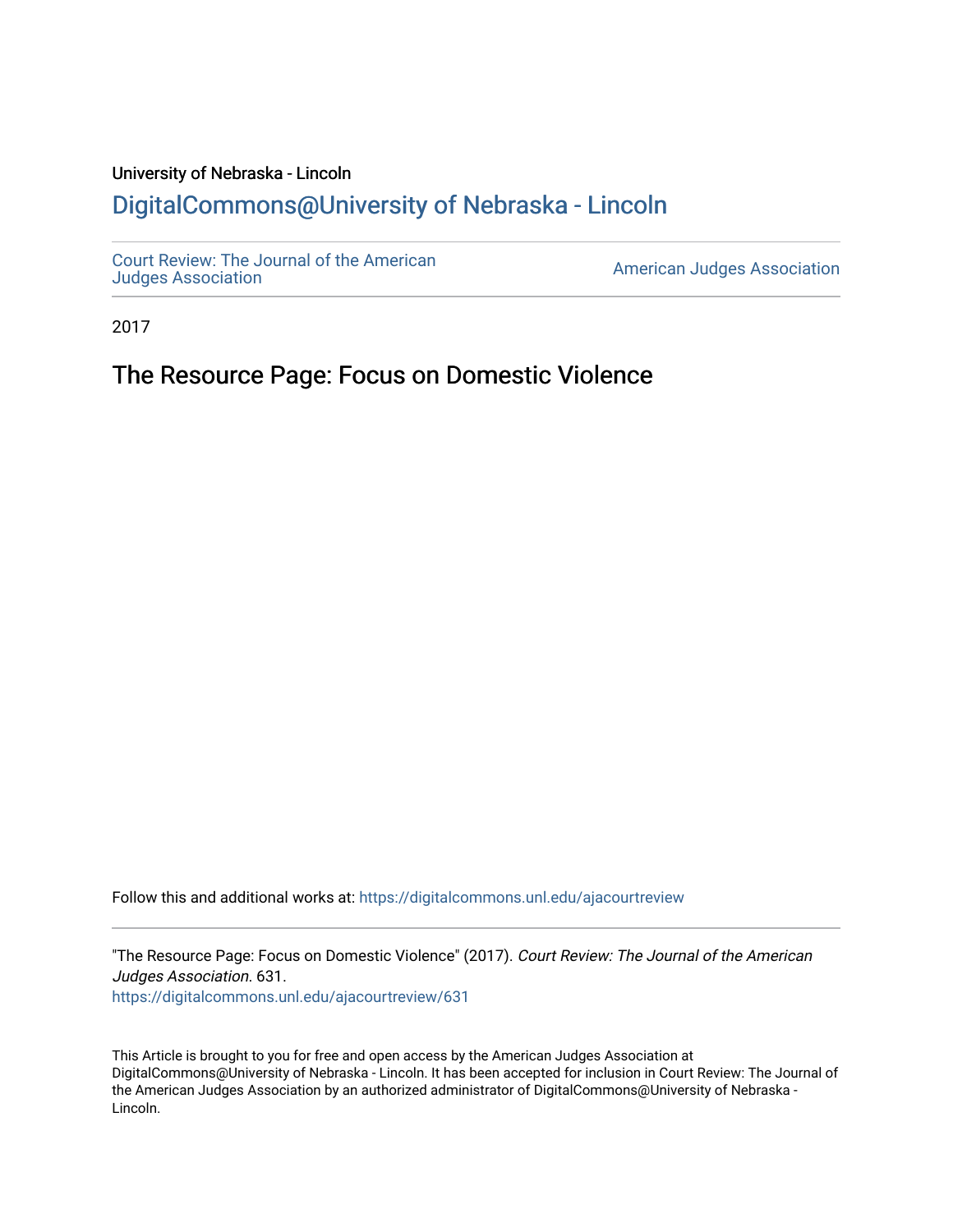### University of Nebraska - Lincoln [DigitalCommons@University of Nebraska - Lincoln](https://digitalcommons.unl.edu/)

[Court Review: The Journal of the American](https://digitalcommons.unl.edu/ajacourtreview)

[Judges Association](https://digitalcommons.unl.edu/ajacourtreview) [American Judges Association](https://digitalcommons.unl.edu/amjudgesassn) 

2017

## The Resource Page: Focus on Domestic Violence

Follow this and additional works at: [https://digitalcommons.unl.edu/ajacourtreview](https://digitalcommons.unl.edu/ajacourtreview?utm_source=digitalcommons.unl.edu%2Fajacourtreview%2F631&utm_medium=PDF&utm_campaign=PDFCoverPages) 

"The Resource Page: Focus on Domestic Violence" (2017). Court Review: The Journal of the American Judges Association. 631.

[https://digitalcommons.unl.edu/ajacourtreview/631](https://digitalcommons.unl.edu/ajacourtreview/631?utm_source=digitalcommons.unl.edu%2Fajacourtreview%2F631&utm_medium=PDF&utm_campaign=PDFCoverPages) 

This Article is brought to you for free and open access by the American Judges Association at DigitalCommons@University of Nebraska - Lincoln. It has been accepted for inclusion in Court Review: The Journal of the American Judges Association by an authorized administrator of DigitalCommons@University of Nebraska -Lincoln.